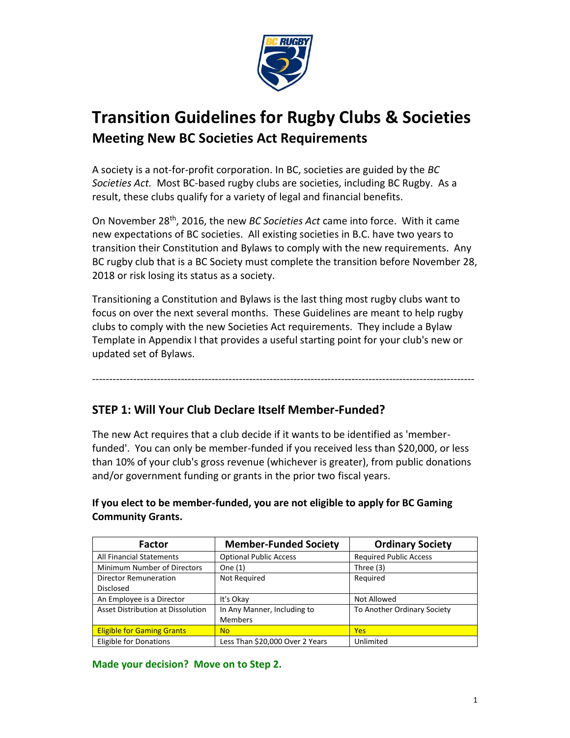

# **Transition Guidelines for Rugby Clubs & Societies Meeting New BC Societies Act Requirements**

A society is a not-for-profit corporation. In BC, societies are guided by the *BC Societies Act.* Most BC-based rugby clubs are societies, including BC Rugby. As a result, these clubs qualify for a variety of legal and financial benefits.

On November 28th, 2016, the new *BC Societies Act* came into force. With it came new expectations of BC societies. All existing societies in B.C. have two years to transition their Constitution and Bylaws to comply with the new requirements. Any BC rugby club that is a BC Society must complete the transition before November 28, 2018 or risk losing its status as a society.

Transitioning a Constitution and Bylaws is the last thing most rugby clubs want to focus on over the next several months. These Guidelines are meant to help rugby clubs to comply with the new Societies Act requirements. They include a Bylaw Template in Appendix I that provides a useful starting point for your club's new or updated set of Bylaws.

----------------------------------------------------------------------------------------------------------------

## **STEP 1: Will Your Club Declare Itself Member-Funded?**

The new Act requires that a club decide if it wants to be identified as 'memberfunded'. You can only be member-funded if you received less than \$20,000, or less than 10% of your club's gross revenue (whichever is greater), from public donations and/or government funding or grants in the prior two fiscal years.

**If you elect to be member-funded, you are not eligible to apply for BC Gaming Community Grants.**

| <b>Factor</b>                     | <b>Member-Funded Society</b>    | <b>Ordinary Society</b>       |
|-----------------------------------|---------------------------------|-------------------------------|
| <b>All Financial Statements</b>   | <b>Optional Public Access</b>   | <b>Required Public Access</b> |
| Minimum Number of Directors       | One (1)                         | Three (3)                     |
| <b>Director Remuneration</b>      | Not Required                    | Required                      |
| <b>Disclosed</b>                  |                                 |                               |
| An Employee is a Director         | It's Okay                       | Not Allowed                   |
| Asset Distribution at Dissolution | In Any Manner, Including to     | To Another Ordinary Society   |
|                                   | Members                         |                               |
| <b>Eligible for Gaming Grants</b> | N <sub>o</sub>                  | <b>Yes</b>                    |
| <b>Eligible for Donations</b>     | Less Than \$20,000 Over 2 Years | Unlimited                     |

**Made your decision? Move on to Step 2.**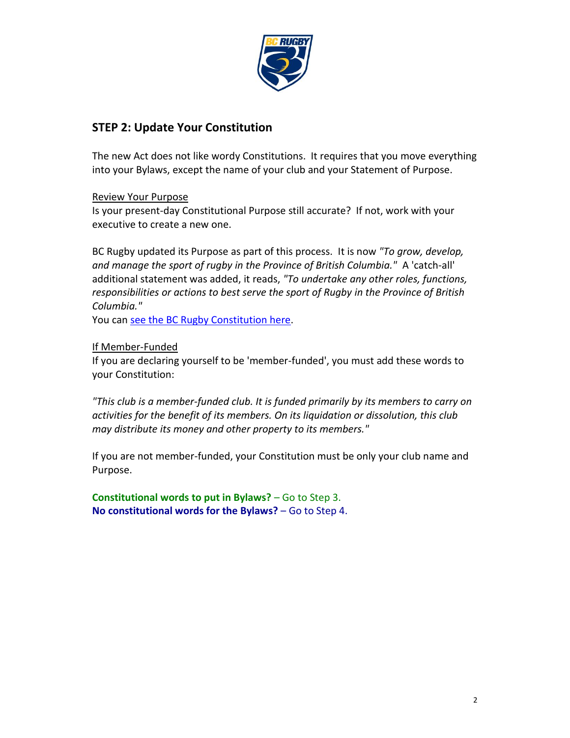

## **STEP 2: Update Your Constitution**

The new Act does not like wordy Constitutions. It requires that you move everything into your Bylaws, except the name of your club and your Statement of Purpose.

## Review Your Purpose

Is your present-day Constitutional Purpose still accurate? If not, work with your executive to create a new one.

BC Rugby updated its Purpose as part of this process. It is now *"To grow, develop, and manage the sport of rugby in the Province of British Columbia."* A 'catch-all' additional statement was added, it reads, *"To undertake any other roles, functions, responsibilities or actions to best serve the sport of Rugby in the Province of British Columbia."*

You can see the BC Rugby Constitution here.

### If Member-Funded

If you are declaring yourself to be 'member-funded', you must add these words to your Constitution:

*"This club is a member-funded club. It is funded primarily by its members to carry on activities for the benefit of its members. On its liquidation or dissolution, this club may distribute its money and other property to its members."*

If you are not member-funded, your Constitution must be only your club name and Purpose.

**Constitutional words to put in Bylaws?** – Go to Step 3. **No constitutional words for the Bylaws?** – Go to Step 4.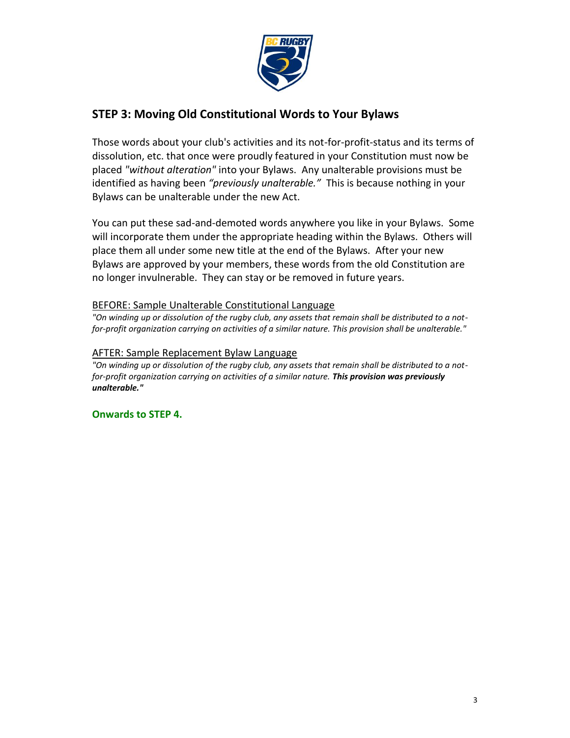

## **STEP 3: Moving Old Constitutional Words to Your Bylaws**

Those words about your club's activities and its not-for-profit-status and its terms of dissolution, etc. that once were proudly featured in your Constitution must now be placed *"without alteration"* into your Bylaws. Any unalterable provisions must be identified as having been *"previously unalterable."* This is because nothing in your Bylaws can be unalterable under the new Act.

You can put these sad-and-demoted words anywhere you like in your Bylaws. Some will incorporate them under the appropriate heading within the Bylaws. Others will place them all under some new title at the end of the Bylaws. After your new Bylaws are approved by your members, these words from the old Constitution are no longer invulnerable. They can stay or be removed in future years.

### BEFORE: Sample Unalterable Constitutional Language

*"On winding up or dissolution of the rugby club, any assets that remain shall be distributed to a notfor-profit organization carrying on activities of a similar nature. This provision shall be unalterable."*

#### AFTER: Sample Replacement Bylaw Language

*"On winding up or dissolution of the rugby club, any assets that remain shall be distributed to a notfor-profit organization carrying on activities of a similar nature. This provision was previously unalterable."*

#### **Onwards to STEP 4.**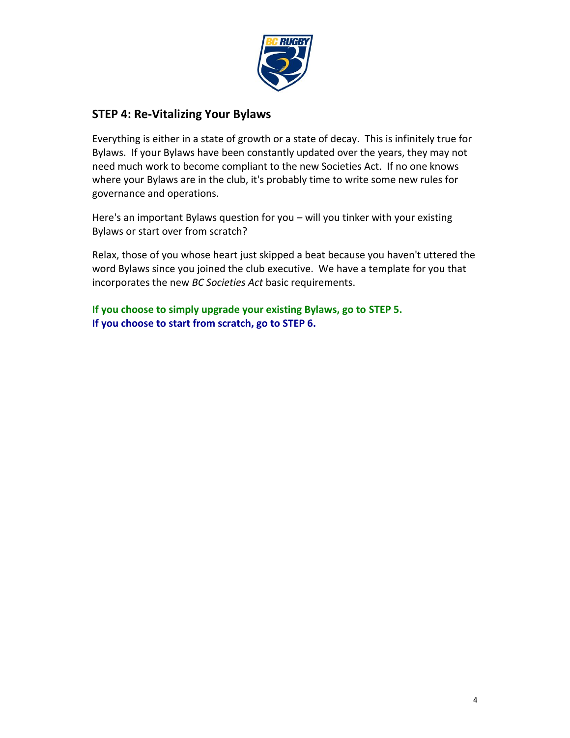

## **STEP 4: Re-Vitalizing Your Bylaws**

Everything is either in a state of growth or a state of decay. This is infinitely true for Bylaws. If your Bylaws have been constantly updated over the years, they may not need much work to become compliant to the new Societies Act. If no one knows where your Bylaws are in the club, it's probably time to write some new rules for governance and operations.

Here's an important Bylaws question for you – will you tinker with your existing Bylaws or start over from scratch?

Relax, those of you whose heart just skipped a beat because you haven't uttered the word Bylaws since you joined the club executive. We have a template for you that incorporates the new *BC Societies Act* basic requirements.

**If you choose to simply upgrade your existing Bylaws, go to STEP 5. If you choose to start from scratch, go to STEP 6.**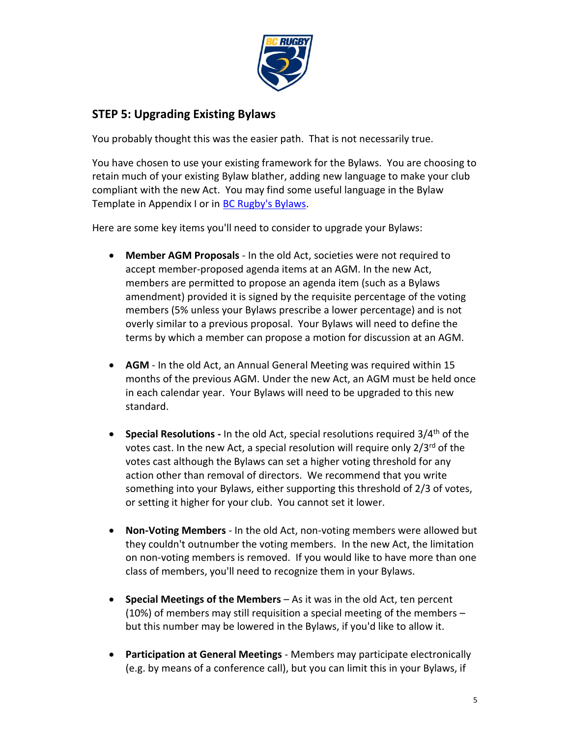

## **STEP 5: Upgrading Existing Bylaws**

You probably thought this was the easier path. That is not necessarily true.

You have chosen to use your existing framework for the Bylaws. You are choosing to retain much of your existing Bylaw blather, adding new language to make your club compliant with the new Act. You may find some useful language in the Bylaw Template in Appendix I or in **BC Rugby's Bylaws**.

Here are some key items you'll need to consider to upgrade your Bylaws:

- **Member AGM Proposals** In the old Act, societies were not required to accept member-proposed agenda items at an AGM. In the new Act, members are permitted to propose an agenda item (such as a Bylaws amendment) provided it is signed by the requisite percentage of the voting members (5% unless your Bylaws prescribe a lower percentage) and is not overly similar to a previous proposal. Your Bylaws will need to define the terms by which a member can propose a motion for discussion at an AGM.
- **AGM** In the old Act, an Annual General Meeting was required within 15 months of the previous AGM. Under the new Act, an AGM must be held once in each calendar year. Your Bylaws will need to be upgraded to this new standard.
- **Special Resolutions** In the old Act, special resolutions required 3/4<sup>th</sup> of the votes cast. In the new Act, a special resolution will require only 2/3<sup>rd</sup> of the votes cast although the Bylaws can set a higher voting threshold for any action other than removal of directors. We recommend that you write something into your Bylaws, either supporting this threshold of 2/3 of votes, or setting it higher for your club. You cannot set it lower.
- **Non-Voting Members** In the old Act, non-voting members were allowed but they couldn't outnumber the voting members. In the new Act, the limitation on non-voting members is removed. If you would like to have more than one class of members, you'll need to recognize them in your Bylaws.
- **Special Meetings of the Members** As it was in the old Act, ten percent (10%) of members may still requisition a special meeting of the members – but this number may be lowered in the Bylaws, if you'd like to allow it.
- **Participation at General Meetings** Members may participate electronically (e.g. by means of a conference call), but you can limit this in your Bylaws, if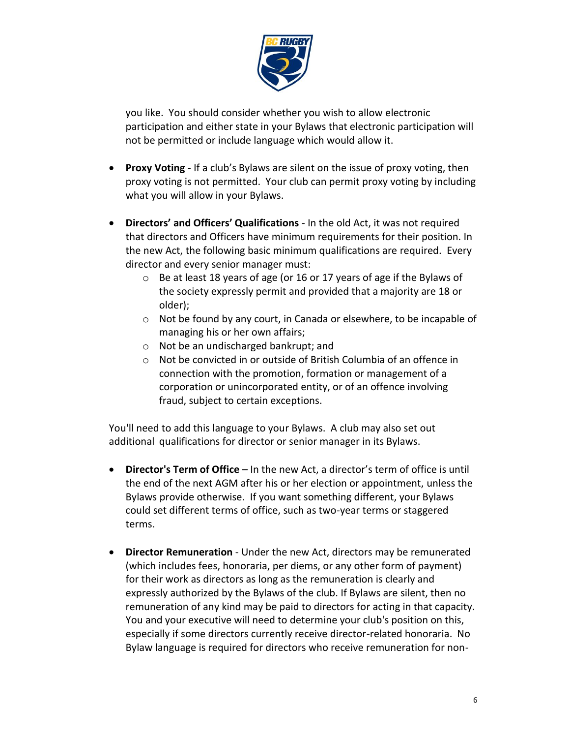

you like. You should consider whether you wish to allow electronic participation and either state in your Bylaws that electronic participation will not be permitted or include language which would allow it.

- **Proxy Voting** If a club's Bylaws are silent on the issue of proxy voting, then proxy voting is not permitted. Your club can permit proxy voting by including what you will allow in your Bylaws.
- **Directors' and Officers' Qualifications** In the old Act, it was not required that directors and Officers have minimum requirements for their position. In the new Act, the following basic minimum qualifications are required. Every director and every senior manager must:
	- o Be at least 18 years of age (or 16 or 17 years of age if the Bylaws of the society expressly permit and provided that a majority are 18 or older);
	- o Not be found by any court, in Canada or elsewhere, to be incapable of managing his or her own affairs;
	- o Not be an undischarged bankrupt; and
	- o Not be convicted in or outside of British Columbia of an offence in connection with the promotion, formation or management of a corporation or unincorporated entity, or of an offence involving fraud, subject to certain exceptions.

You'll need to add this language to your Bylaws. A club may also set out additional qualifications for director or senior manager in its Bylaws.

- **Director's Term of Office** In the new Act, a director's term of office is until the end of the next AGM after his or her election or appointment, unless the Bylaws provide otherwise. If you want something different, your Bylaws could set different terms of office, such as two-year terms or staggered terms.
- **Director Remuneration** Under the new Act, directors may be remunerated (which includes fees, honoraria, per diems, or any other form of payment) for their work as directors as long as the remuneration is clearly and expressly authorized by the Bylaws of the club. If Bylaws are silent, then no remuneration of any kind may be paid to directors for acting in that capacity. You and your executive will need to determine your club's position on this, especially if some directors currently receive director-related honoraria. No Bylaw language is required for directors who receive remuneration for non-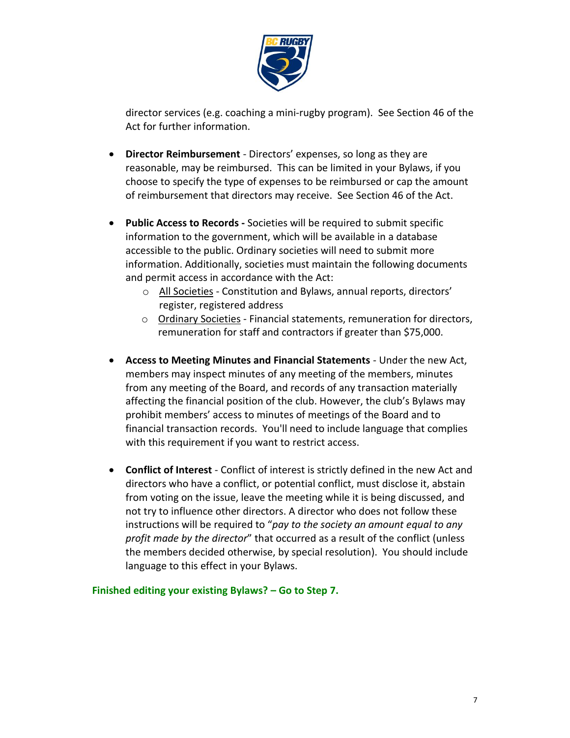

director services (e.g. coaching a mini-rugby program). See Section 46 of the Act for further information.

- **Director Reimbursement** Directors' expenses, so long as they are reasonable, may be reimbursed. This can be limited in your Bylaws, if you choose to specify the type of expenses to be reimbursed or cap the amount of reimbursement that directors may receive. See Section 46 of the Act.
- **Public Access to Records -** Societies will be required to submit specific information to the government, which will be available in a database accessible to the public. Ordinary societies will need to submit more information. Additionally, societies must maintain the following documents and permit access in accordance with the Act:
	- o All Societies Constitution and Bylaws, annual reports, directors' register, registered address
	- o Ordinary Societies Financial statements, remuneration for directors, remuneration for staff and contractors if greater than \$75,000.
- **Access to Meeting Minutes and Financial Statements** Under the new Act, members may inspect minutes of any meeting of the members, minutes from any meeting of the Board, and records of any transaction materially affecting the financial position of the club. However, the club's Bylaws may prohibit members' access to minutes of meetings of the Board and to financial transaction records. You'll need to include language that complies with this requirement if you want to restrict access.
- **Conflict of Interest** Conflict of interest is strictly defined in the new Act and directors who have a conflict, or potential conflict, must disclose it, abstain from voting on the issue, leave the meeting while it is being discussed, and not try to influence other directors. A director who does not follow these instructions will be required to "*pay to the society an amount equal to any profit made by the director*" that occurred as a result of the conflict (unless the members decided otherwise, by special resolution). You should include language to this effect in your Bylaws.

**Finished editing your existing Bylaws? – Go to Step 7.**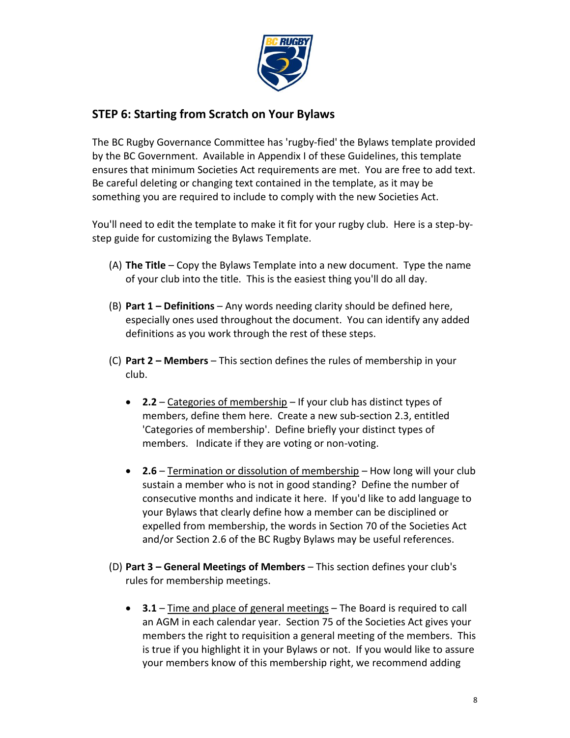

## **STEP 6: Starting from Scratch on Your Bylaws**

The BC Rugby Governance Committee has 'rugby-fied' the Bylaws template provided by the BC Government. Available in Appendix I of these Guidelines, this template ensures that minimum Societies Act requirements are met. You are free to add text. Be careful deleting or changing text contained in the template, as it may be something you are required to include to comply with the new Societies Act.

You'll need to edit the template to make it fit for your rugby club. Here is a step-bystep guide for customizing the Bylaws Template.

- (A) **The Title** Copy the Bylaws Template into a new document. Type the name of your club into the title. This is the easiest thing you'll do all day.
- (B) **Part 1 – Definitions** Any words needing clarity should be defined here, especially ones used throughout the document. You can identify any added definitions as you work through the rest of these steps.
- (C) **Part 2 – Members** This section defines the rules of membership in your club.
	- **2.2** Categories of membership If your club has distinct types of members, define them here. Create a new sub-section 2.3, entitled 'Categories of membership'. Define briefly your distinct types of members. Indicate if they are voting or non-voting.
	- **2.6** Termination or dissolution of membership How long will your club sustain a member who is not in good standing? Define the number of consecutive months and indicate it here. If you'd like to add language to your Bylaws that clearly define how a member can be disciplined or expelled from membership, the words in Section 70 of the Societies Act and/or Section 2.6 of the BC Rugby Bylaws may be useful references.
- (D) **Part 3 – General Meetings of Members** This section defines your club's rules for membership meetings.
	- **3.1** Time and place of general meetings The Board is required to call an AGM in each calendar year. Section 75 of the Societies Act gives your members the right to requisition a general meeting of the members. This is true if you highlight it in your Bylaws or not. If you would like to assure your members know of this membership right, we recommend adding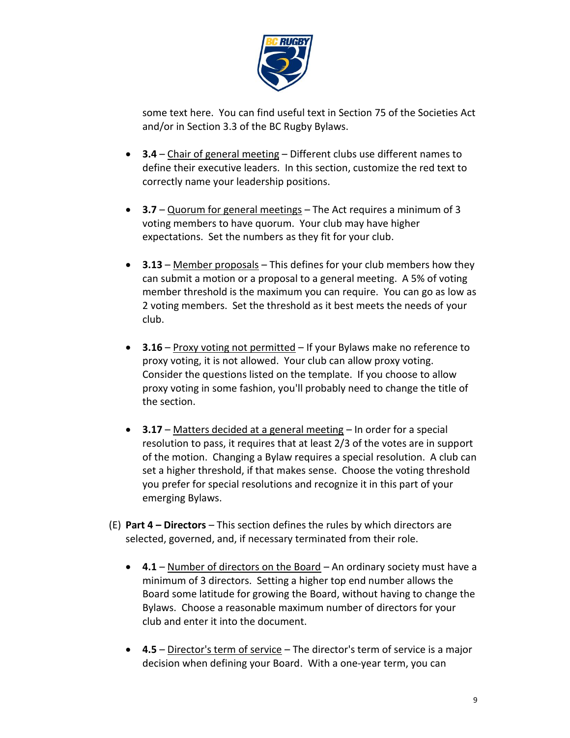

some text here. You can find useful text in Section 75 of the Societies Act and/or in Section 3.3 of the BC Rugby Bylaws.

- **3.4** Chair of general meeting Different clubs use different names to define their executive leaders. In this section, customize the red text to correctly name your leadership positions.
- **3.7** Quorum for general meetings The Act requires a minimum of 3 voting members to have quorum. Your club may have higher expectations. Set the numbers as they fit for your club.
- **3.13** Member proposals This defines for your club members how they can submit a motion or a proposal to a general meeting. A 5% of voting member threshold is the maximum you can require. You can go as low as 2 voting members. Set the threshold as it best meets the needs of your club.
- **3.16** Proxy voting not permitted If your Bylaws make no reference to proxy voting, it is not allowed. Your club can allow proxy voting. Consider the questions listed on the template. If you choose to allow proxy voting in some fashion, you'll probably need to change the title of the section.
- **3.17** Matters decided at a general meeting In order for a special resolution to pass, it requires that at least 2/3 of the votes are in support of the motion. Changing a Bylaw requires a special resolution. A club can set a higher threshold, if that makes sense. Choose the voting threshold you prefer for special resolutions and recognize it in this part of your emerging Bylaws.
- (E) **Part 4 – Directors** This section defines the rules by which directors are selected, governed, and, if necessary terminated from their role.
	- **4.1** Number of directors on the Board An ordinary society must have a minimum of 3 directors. Setting a higher top end number allows the Board some latitude for growing the Board, without having to change the Bylaws. Choose a reasonable maximum number of directors for your club and enter it into the document.
	- **4.5** Director's term of service The director's term of service is a major decision when defining your Board. With a one-year term, you can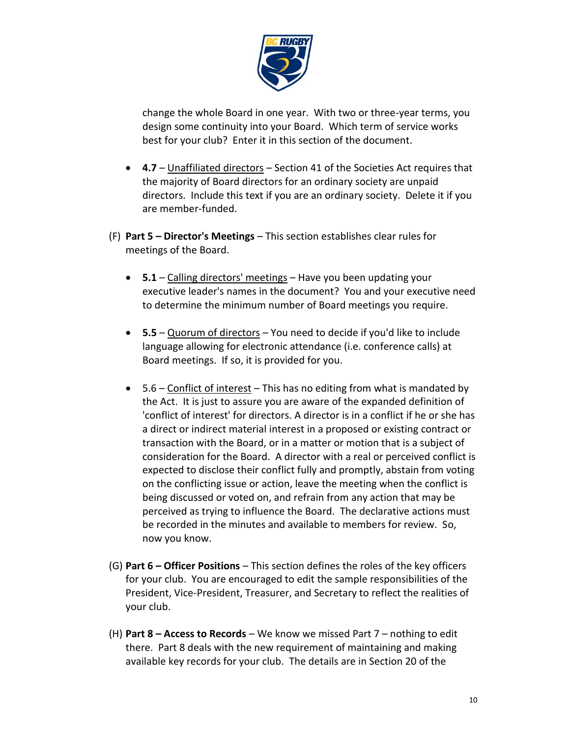

change the whole Board in one year. With two or three-year terms, you design some continuity into your Board. Which term of service works best for your club? Enter it in this section of the document.

- **4.7** Unaffiliated directors Section 41 of the Societies Act requires that the majority of Board directors for an ordinary society are unpaid directors. Include this text if you are an ordinary society. Delete it if you are member-funded.
- (F) **Part 5 – Director's Meetings** This section establishes clear rules for meetings of the Board.
	- **5.1** Calling directors' meetings Have you been updating your executive leader's names in the document? You and your executive need to determine the minimum number of Board meetings you require.
	- **5.5** Quorum of directors You need to decide if you'd like to include language allowing for electronic attendance (i.e. conference calls) at Board meetings. If so, it is provided for you.
	- $5.6$  Conflict of interest This has no editing from what is mandated by the Act. It is just to assure you are aware of the expanded definition of 'conflict of interest' for directors. A director is in a conflict if he or she has a direct or indirect material interest in a proposed or existing contract or transaction with the Board, or in a matter or motion that is a subject of consideration for the Board. A director with a real or perceived conflict is expected to disclose their conflict fully and promptly, abstain from voting on the conflicting issue or action, leave the meeting when the conflict is being discussed or voted on, and refrain from any action that may be perceived as trying to influence the Board. The declarative actions must be recorded in the minutes and available to members for review. So, now you know.
- (G) **Part 6 – Officer Positions** This section defines the roles of the key officers for your club. You are encouraged to edit the sample responsibilities of the President, Vice-President, Treasurer, and Secretary to reflect the realities of your club.
- (H) **Part 8 – Access to Records** We know we missed Part 7 nothing to edit there. Part 8 deals with the new requirement of maintaining and making available key records for your club. The details are in Section 20 of the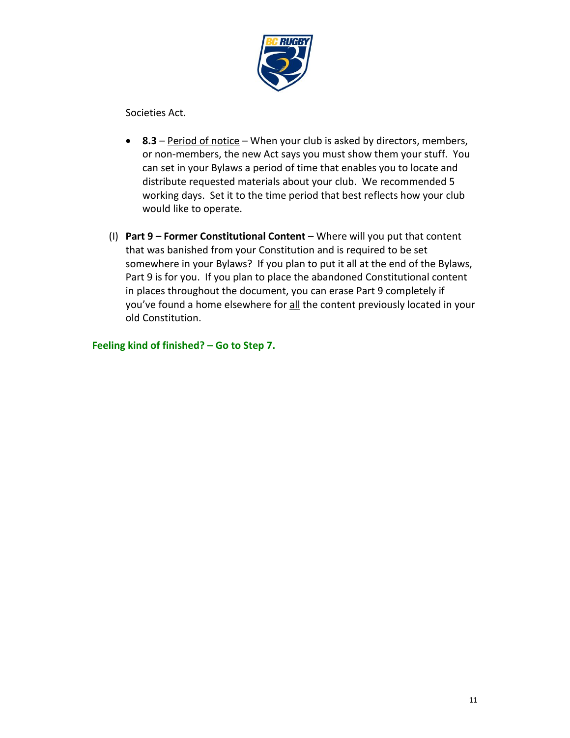

Societies Act.

- **8.3** Period of notice When your club is asked by directors, members, or non-members, the new Act says you must show them your stuff. You can set in your Bylaws a period of time that enables you to locate and distribute requested materials about your club. We recommended 5 working days. Set it to the time period that best reflects how your club would like to operate.
- (I) **Part 9 – Former Constitutional Content** Where will you put that content that was banished from your Constitution and is required to be set somewhere in your Bylaws? If you plan to put it all at the end of the Bylaws, Part 9 is for you. If you plan to place the abandoned Constitutional content in places throughout the document, you can erase Part 9 completely if you've found a home elsewhere for all the content previously located in your old Constitution.

**Feeling kind of finished? – Go to Step 7.**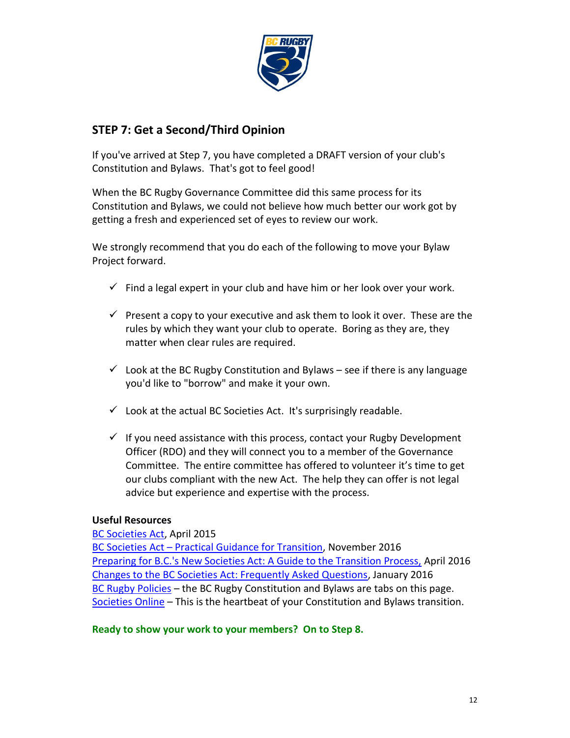

## **STEP 7: Get a Second/Third Opinion**

If you've arrived at Step 7, you have completed a DRAFT version of your club's Constitution and Bylaws. That's got to feel good!

When the BC Rugby Governance Committee did this same process for its Constitution and Bylaws, we could not believe how much better our work got by getting a fresh and experienced set of eyes to review our work.

We strongly recommend that you do each of the following to move your Bylaw Project forward.

- $\checkmark$  Find a legal expert in your club and have him or her look over your work.
- $\checkmark$  Present a copy to your executive and ask them to look it over. These are the rules by which they want your club to operate. Boring as they are, they matter when clear rules are required.
- $\checkmark$  Look at the BC Rugby Constitution and Bylaws see if there is any language you'd like to "borrow" and make it your own.
- $\checkmark$  Look at the actual BC Societies Act. It's surprisingly readable.
- $\checkmark$  If you need assistance with this process, contact your Rugby Development Officer (RDO) and they will connect you to a member of the Governance Committee. The entire committee has offered to volunteer it's time to get our clubs compliant with the new Act. The help they can offer is not legal advice but experience and expertise with the process.

## **Useful Resources**

#### [BC Societies Act,](https://www.leg.bc.ca/parliamentary-business/legislation-debates-proceedings/40th-parliament/4th-session/bills/third-reading/gov24-3#%2Fcontent%2Fdata%2520-%2520ldp%2FPages%2F40th4th%2F3rd_read%2Fgov24-3.htm) April 2015

BC Societies Act – Practical Guidance for Transition, November 2016 Preparing for B.C.'s New Societies Act: A Guide to the Transition Process, April 2016 Changes to the BC Societies Act: Frequently Asked Questions, January 2016 BC Rugby Policies - the BC Rugby Constitution and Bylaws are tabs on this page. Societies Online – This is the heartbeat of your Constitution and Bylaws transition.

## **Ready to show your work to your members? On to Step 8.**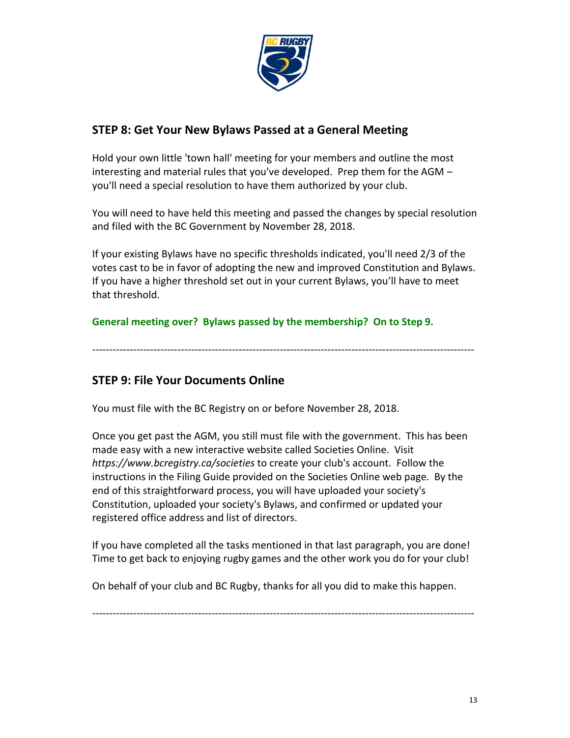

## **STEP 8: Get Your New Bylaws Passed at a General Meeting**

Hold your own little 'town hall' meeting for your members and outline the most interesting and material rules that you've developed. Prep them for the AGM – you'll need a special resolution to have them authorized by your club.

You will need to have held this meeting and passed the changes by special resolution and filed with the BC Government by November 28, 2018.

If your existing Bylaws have no specific thresholds indicated, you'll need 2/3 of the votes cast to be in favor of adopting the new and improved Constitution and Bylaws. If you have a higher threshold set out in your current Bylaws, you'll have to meet that threshold.

**General meeting over? Bylaws passed by the membership? On to Step 9.**

----------------------------------------------------------------------------------------------------------------

## **STEP 9: File Your Documents Online**

You must file with the BC Registry on or before November 28, 2018.

Once you get past the AGM, you still must file with the government. This has been made easy with a new interactive website called Societies Online. Visit *https://www.bcregistry.ca/societies* to create your club's account. Follow the instructions in the Filing Guide provided on the Societies Online web page. By the end of this straightforward process, you will have uploaded your society's Constitution, uploaded your society's Bylaws, and confirmed or updated your registered office address and list of directors.

If you have completed all the tasks mentioned in that last paragraph, you are done! Time to get back to enjoying rugby games and the other work you do for your club!

On behalf of your club and BC Rugby, thanks for all you did to make this happen.

----------------------------------------------------------------------------------------------------------------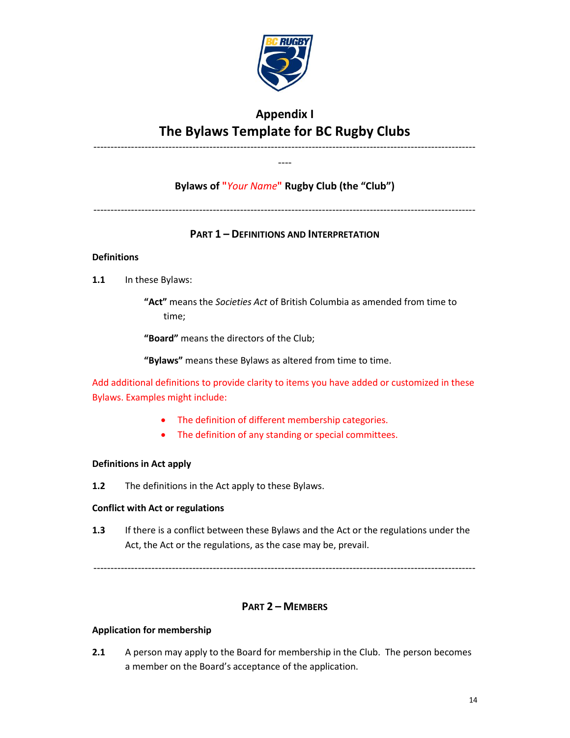

## **Appendix I The Bylaws Template for BC Rugby Clubs**

---------------------------------------------------------------------------------------------------------------- ----

## **Bylaws of "***Your Name***" Rugby Club (the "Club")**

----------------------------------------------------------------------------------------------------------------

## **PART 1 – DEFINITIONS AND INTERPRETATION**

#### **Definitions**

**1.1** In these Bylaws:

**"Act"** means the *Societies Act* of British Columbia as amended from time to time;

**"Board"** means the directors of the Club;

**"Bylaws"** means these Bylaws as altered from time to time.

Add additional definitions to provide clarity to items you have added or customized in these Bylaws. Examples might include:

- The definition of different membership categories.
- The definition of any standing or special committees.

#### **Definitions in Act apply**

**1.2** The definitions in the Act apply to these Bylaws.

#### **Conflict with Act or regulations**

**1.3** If there is a conflict between these Bylaws and the Act or the regulations under the Act, the Act or the regulations, as the case may be, prevail.

----------------------------------------------------------------------------------------------------------------

#### **PART 2 – MEMBERS**

#### **Application for membership**

**2.1** A person may apply to the Board for membership in the Club. The person becomes a member on the Board's acceptance of the application.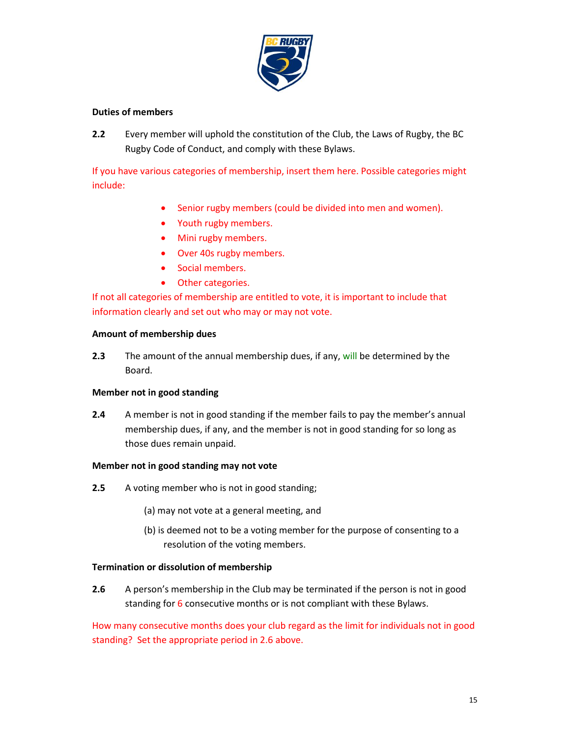

#### **Duties of members**

**2.2** Every member will uphold the constitution of the Club, the Laws of Rugby, the BC Rugby Code of Conduct, and comply with these Bylaws.

If you have various categories of membership, insert them here. Possible categories might include:

- Senior rugby members (could be divided into men and women).
- Youth rugby members.
- Mini rugby members.
- Over 40s rugby members.
- Social members.
- Other categories.

If not all categories of membership are entitled to vote, it is important to include that information clearly and set out who may or may not vote.

#### **Amount of membership dues**

**2.3** The amount of the annual membership dues, if any, will be determined by the Board.

#### **Member not in good standing**

**2.4** A member is not in good standing if the member fails to pay the member's annual membership dues, if any, and the member is not in good standing for so long as those dues remain unpaid.

#### **Member not in good standing may not vote**

- **2.5** A voting member who is not in good standing;
	- (a) may not vote at a general meeting, and
	- (b) is deemed not to be a voting member for the purpose of consenting to a resolution of the voting members.

#### **Termination or dissolution of membership**

**2.6** A person's membership in the Club may be terminated if the person is not in good standing for 6 consecutive months or is not compliant with these Bylaws.

How many consecutive months does your club regard as the limit for individuals not in good standing? Set the appropriate period in 2.6 above.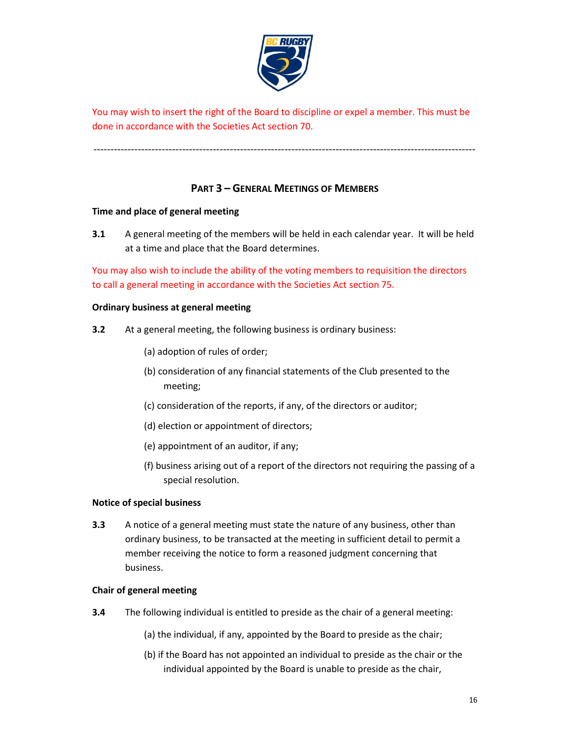

You may wish to insert the right of the Board to discipline or expel a member. This must be done in accordance with the Societies Act section 70.

### **PART 3 – GENERAL MEETINGS OF MEMBERS**

----------------------------------------------------------------------------------------------------------------

#### **Time and place of general meeting**

**3.1** A general meeting of the members will be held in each calendar year. It will be held at a time and place that the Board determines.

You may also wish to include the ability of the voting members to requisition the directors to call a general meeting in accordance with the Societies Act section 75.

#### **Ordinary business at general meeting**

- **3.2** At a general meeting, the following business is ordinary business:
	- (a) adoption of rules of order;
	- (b) consideration of any financial statements of the Club presented to the meeting;
	- (c) consideration of the reports, if any, of the directors or auditor;
	- (d) election or appointment of directors;
	- (e) appointment of an auditor, if any;
	- (f) business arising out of a report of the directors not requiring the passing of a special resolution.

#### **Notice of special business**

**3.3** A notice of a general meeting must state the nature of any business, other than ordinary business, to be transacted at the meeting in sufficient detail to permit a member receiving the notice to form a reasoned judgment concerning that business.

#### **Chair of general meeting**

- **3.4** The following individual is entitled to preside as the chair of a general meeting:
	- (a) the individual, if any, appointed by the Board to preside as the chair;
	- (b) if the Board has not appointed an individual to preside as the chair or the individual appointed by the Board is unable to preside as the chair,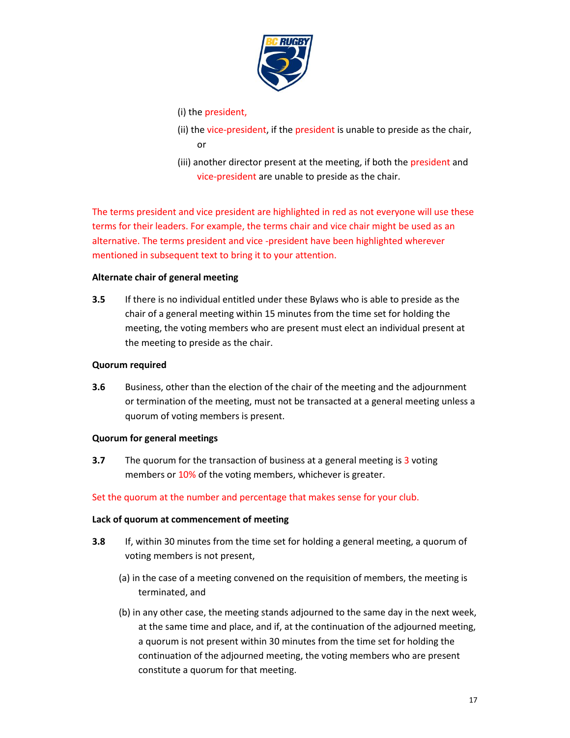

#### (i) the president,

- (ii) the vice-president, if the president is unable to preside as the chair, or
- (iii) another director present at the meeting, if both the president and vice-president are unable to preside as the chair.

The terms president and vice president are highlighted in red as not everyone will use these terms for their leaders. For example, the terms chair and vice chair might be used as an alternative. The terms president and vice -president have been highlighted wherever mentioned in subsequent text to bring it to your attention.

#### **Alternate chair of general meeting**

**3.5** If there is no individual entitled under these Bylaws who is able to preside as the chair of a general meeting within 15 minutes from the time set for holding the meeting, the voting members who are present must elect an individual present at the meeting to preside as the chair.

#### **Quorum required**

**3.6** Business, other than the election of the chair of the meeting and the adjournment or termination of the meeting, must not be transacted at a general meeting unless a quorum of voting members is present.

#### **Quorum for general meetings**

**3.7** The quorum for the transaction of business at a general meeting is 3 voting members or 10% of the voting members, whichever is greater.

#### Set the quorum at the number and percentage that makes sense for your club.

#### **Lack of quorum at commencement of meeting**

- **3.8** If, within 30 minutes from the time set for holding a general meeting, a quorum of voting members is not present,
	- (a) in the case of a meeting convened on the requisition of members, the meeting is terminated, and
	- (b) in any other case, the meeting stands adjourned to the same day in the next week, at the same time and place, and if, at the continuation of the adjourned meeting, a quorum is not present within 30 minutes from the time set for holding the continuation of the adjourned meeting, the voting members who are present constitute a quorum for that meeting.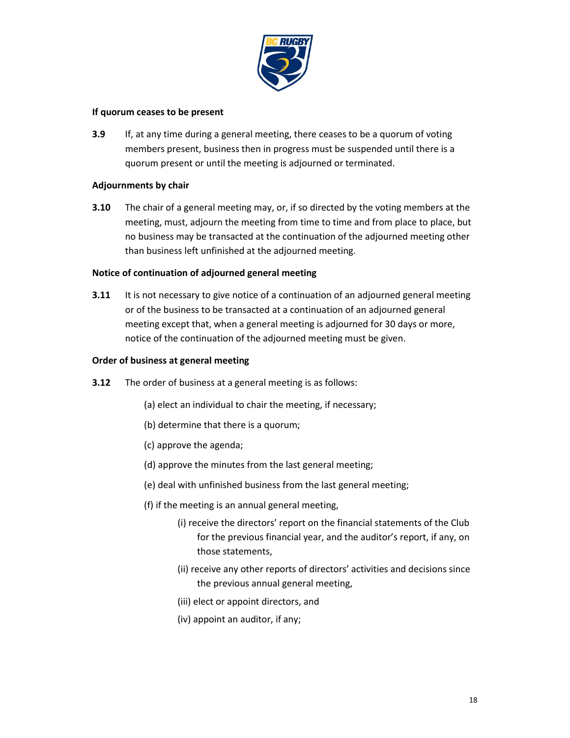

#### **If quorum ceases to be present**

**3.9** If, at any time during a general meeting, there ceases to be a quorum of voting members present, business then in progress must be suspended until there is a quorum present or until the meeting is adjourned or terminated.

#### **Adjournments by chair**

**3.10** The chair of a general meeting may, or, if so directed by the voting members at the meeting, must, adjourn the meeting from time to time and from place to place, but no business may be transacted at the continuation of the adjourned meeting other than business left unfinished at the adjourned meeting.

#### **Notice of continuation of adjourned general meeting**

**3.11** It is not necessary to give notice of a continuation of an adjourned general meeting or of the business to be transacted at a continuation of an adjourned general meeting except that, when a general meeting is adjourned for 30 days or more, notice of the continuation of the adjourned meeting must be given.

#### **Order of business at general meeting**

- **3.12** The order of business at a general meeting is as follows:
	- (a) elect an individual to chair the meeting, if necessary;
	- (b) determine that there is a quorum;
	- (c) approve the agenda;
	- (d) approve the minutes from the last general meeting;
	- (e) deal with unfinished business from the last general meeting;
	- (f) if the meeting is an annual general meeting,
		- (i) receive the directors' report on the financial statements of the Club for the previous financial year, and the auditor's report, if any, on those statements,
		- (ii) receive any other reports of directors' activities and decisions since the previous annual general meeting,
		- (iii) elect or appoint directors, and
		- (iv) appoint an auditor, if any;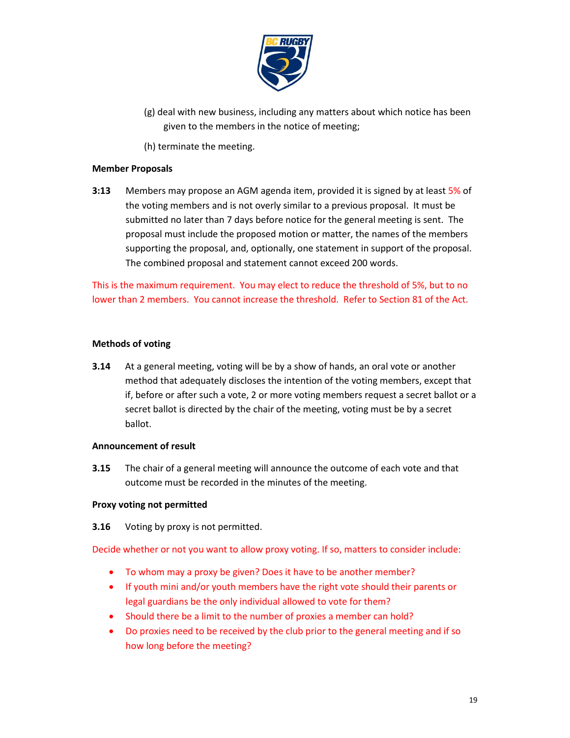

- (g) deal with new business, including any matters about which notice has been given to the members in the notice of meeting;
- (h) terminate the meeting.

#### **Member Proposals**

**3:13** Members may propose an AGM agenda item, provided it is signed by at least 5% of the voting members and is not overly similar to a previous proposal. It must be submitted no later than 7 days before notice for the general meeting is sent. The proposal must include the proposed motion or matter, the names of the members supporting the proposal, and, optionally, one statement in support of the proposal. The combined proposal and statement cannot exceed 200 words.

This is the maximum requirement. You may elect to reduce the threshold of 5%, but to no lower than 2 members. You cannot increase the threshold. Refer to Section 81 of the Act.

#### **Methods of voting**

**3.14** At a general meeting, voting will be by a show of hands, an oral vote or another method that adequately discloses the intention of the voting members, except that if, before or after such a vote, 2 or more voting members request a secret ballot or a secret ballot is directed by the chair of the meeting, voting must be by a secret ballot.

#### **Announcement of result**

**3.15** The chair of a general meeting will announce the outcome of each vote and that outcome must be recorded in the minutes of the meeting.

#### **Proxy voting not permitted**

**3.16** Voting by proxy is not permitted.

Decide whether or not you want to allow proxy voting. If so, matters to consider include:

- To whom may a proxy be given? Does it have to be another member?
- If youth mini and/or youth members have the right vote should their parents or legal guardians be the only individual allowed to vote for them?
- Should there be a limit to the number of proxies a member can hold?
- Do proxies need to be received by the club prior to the general meeting and if so how long before the meeting?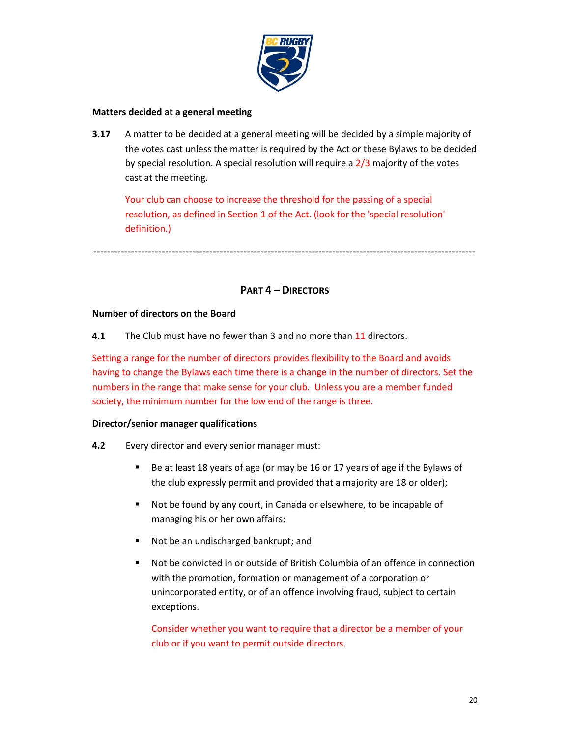

#### **Matters decided at a general meeting**

**3.17** A matter to be decided at a general meeting will be decided by a simple majority of the votes cast unless the matter is required by the Act or these Bylaws to be decided by special resolution. A special resolution will require a  $2/3$  majority of the votes cast at the meeting.

Your club can choose to increase the threshold for the passing of a special resolution, as defined in Section 1 of the Act. (look for the 'special resolution' definition.)

----------------------------------------------------------------------------------------------------------------

## **PART 4 – DIRECTORS**

#### **Number of directors on the Board**

**4.1** The Club must have no fewer than 3 and no more than 11 directors.

Setting a range for the number of directors provides flexibility to the Board and avoids having to change the Bylaws each time there is a change in the number of directors. Set the numbers in the range that make sense for your club. Unless you are a member funded society, the minimum number for the low end of the range is three.

#### **Director/senior manager qualifications**

- **4.2** Every director and every senior manager must:
	- Be at least 18 years of age (or may be 16 or 17 years of age if the Bylaws of the club expressly permit and provided that a majority are 18 or older);
	- Not be found by any court, in Canada or elsewhere, to be incapable of managing his or her own affairs;
	- Not be an undischarged bankrupt; and
	- Not be convicted in or outside of British Columbia of an offence in connection with the promotion, formation or management of a corporation or unincorporated entity, or of an offence involving fraud, subject to certain exceptions.

Consider whether you want to require that a director be a member of your club or if you want to permit outside directors.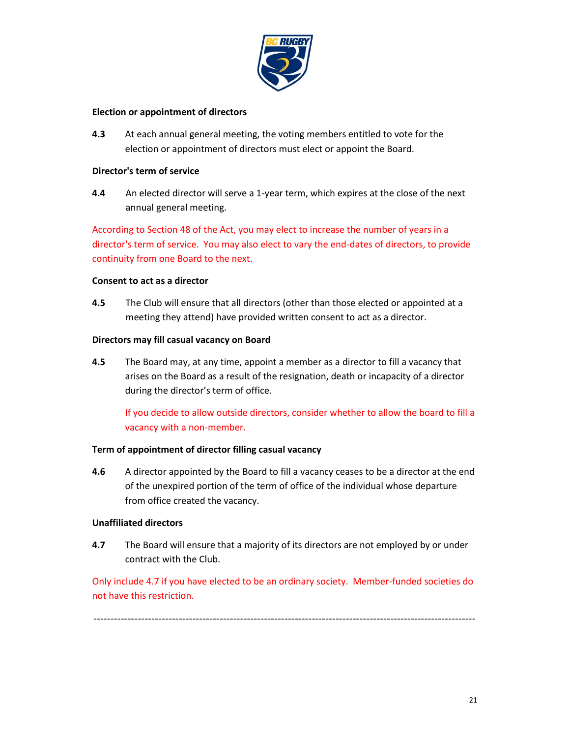

#### **Election or appointment of directors**

**4.3** At each annual general meeting, the voting members entitled to vote for the election or appointment of directors must elect or appoint the Board.

#### **Director's term of service**

**4.4** An elected director will serve a 1-year term, which expires at the close of the next annual general meeting.

According to Section 48 of the Act, you may elect to increase the number of years in a director's term of service. You may also elect to vary the end-dates of directors, to provide continuity from one Board to the next.

#### **Consent to act as a director**

**4.5** The Club will ensure that all directors (other than those elected or appointed at a meeting they attend) have provided written consent to act as a director.

#### **Directors may fill casual vacancy on Board**

**4.5** The Board may, at any time, appoint a member as a director to fill a vacancy that arises on the Board as a result of the resignation, death or incapacity of a director during the director's term of office.

If you decide to allow outside directors, consider whether to allow the board to fill a vacancy with a non-member.

#### **Term of appointment of director filling casual vacancy**

**4.6** A director appointed by the Board to fill a vacancy ceases to be a director at the end of the unexpired portion of the term of office of the individual whose departure from office created the vacancy.

#### **Unaffiliated directors**

**4.7** The Board will ensure that a majority of its directors are not employed by or under contract with the Club.

Only include 4.7 if you have elected to be an ordinary society. Member-funded societies do not have this restriction.

----------------------------------------------------------------------------------------------------------------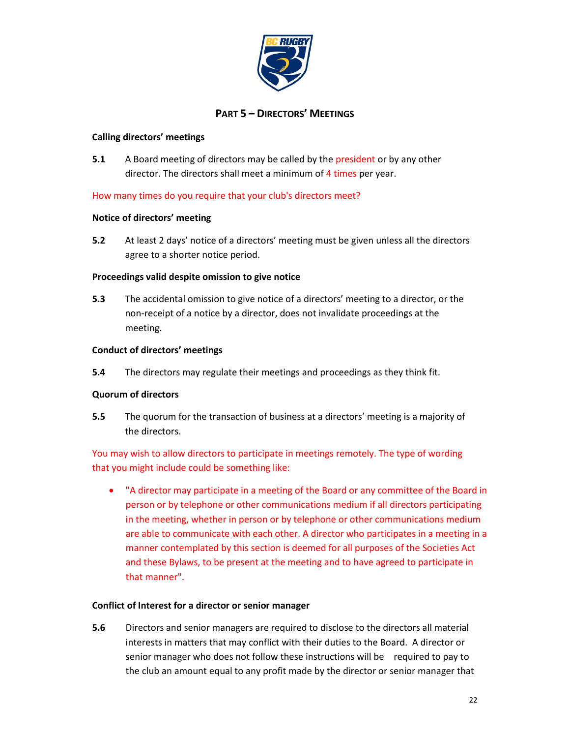

### **PART 5 – DIRECTORS' MEETINGS**

#### **Calling directors' meetings**

**5.1** A Board meeting of directors may be called by the president or by any other director. The directors shall meet a minimum of 4 times per year.

How many times do you require that your club's directors meet?

#### **Notice of directors' meeting**

**5.2** At least 2 days' notice of a directors' meeting must be given unless all the directors agree to a shorter notice period.

#### **Proceedings valid despite omission to give notice**

**5.3** The accidental omission to give notice of a directors' meeting to a director, or the non-receipt of a notice by a director, does not invalidate proceedings at the meeting.

#### **Conduct of directors' meetings**

**5.4** The directors may regulate their meetings and proceedings as they think fit.

#### **Quorum of directors**

**5.5** The quorum for the transaction of business at a directors' meeting is a majority of the directors.

You may wish to allow directors to participate in meetings remotely. The type of wording that you might include could be something like:

• "A director may participate in a meeting of the Board or any committee of the Board in person or by telephone or other communications medium if all directors participating in the meeting, whether in person or by telephone or other communications medium are able to communicate with each other. A director who participates in a meeting in a manner contemplated by this section is deemed for all purposes of the Societies Act and these Bylaws, to be present at the meeting and to have agreed to participate in that manner".

#### **Conflict of Interest for a director or senior manager**

**5.6** Directors and senior managers are required to disclose to the directors all material interests in matters that may conflict with their duties to the Board. A director or senior manager who does not follow these instructions will be required to pay to the club an amount equal to any profit made by the director or senior manager that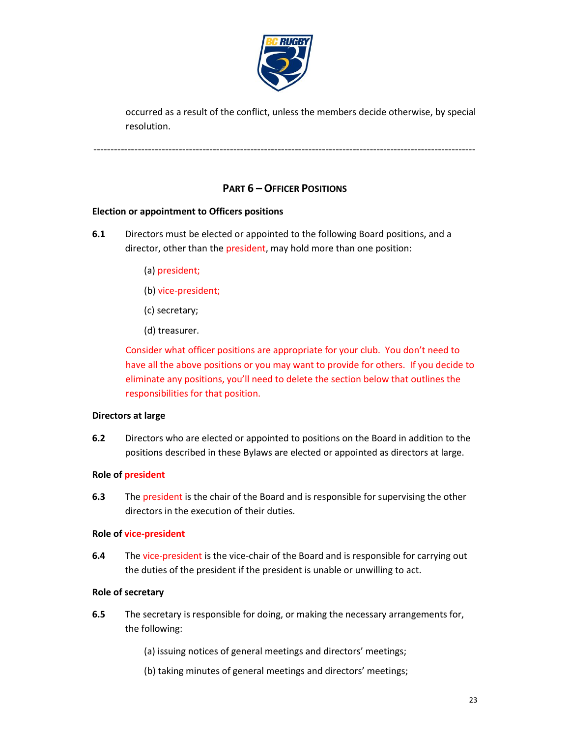

occurred as a result of the conflict, unless the members decide otherwise, by special resolution.

----------------------------------------------------------------------------------------------------------------

### **PART 6 – OFFICER POSITIONS**

#### **Election or appointment to Officers positions**

- **6.1** Directors must be elected or appointed to the following Board positions, and a director, other than the president, may hold more than one position:
	- (a) president;
	- (b) vice-president;
	- (c) secretary;
	- (d) treasurer.

Consider what officer positions are appropriate for your club. You don't need to have all the above positions or you may want to provide for others. If you decide to eliminate any positions, you'll need to delete the section below that outlines the responsibilities for that position.

#### **Directors at large**

**6.2** Directors who are elected or appointed to positions on the Board in addition to the positions described in these Bylaws are elected or appointed as directors at large.

#### **Role of president**

**6.3** The president is the chair of the Board and is responsible for supervising the other directors in the execution of their duties.

#### **Role of vice-president**

**6.4** The vice-president is the vice-chair of the Board and is responsible for carrying out the duties of the president if the president is unable or unwilling to act.

#### **Role of secretary**

- **6.5** The secretary is responsible for doing, or making the necessary arrangements for, the following:
	- (a) issuing notices of general meetings and directors' meetings;
	- (b) taking minutes of general meetings and directors' meetings;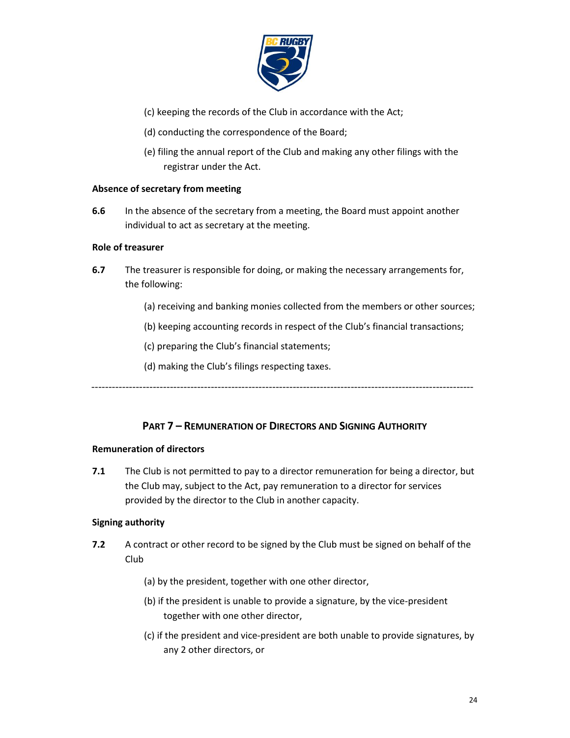

- (c) keeping the records of the Club in accordance with the Act;
- (d) conducting the correspondence of the Board;
- (e) filing the annual report of the Club and making any other filings with the registrar under the Act.

#### **Absence of secretary from meeting**

**6.6** In the absence of the secretary from a meeting, the Board must appoint another individual to act as secretary at the meeting.

#### **Role of treasurer**

- **6.7** The treasurer is responsible for doing, or making the necessary arrangements for, the following:
	- (a) receiving and banking monies collected from the members or other sources;
	- (b) keeping accounting records in respect of the Club's financial transactions;
	- (c) preparing the Club's financial statements;
	- (d) making the Club's filings respecting taxes.

----------------------------------------------------------------------------------------------------------------

#### **PART 7 – REMUNERATION OF DIRECTORS AND SIGNING AUTHORITY**

#### **Remuneration of directors**

**7.1** The Club is not permitted to pay to a director remuneration for being a director, but the Club may, subject to the Act, pay remuneration to a director for services provided by the director to the Club in another capacity.

#### **Signing authority**

- **7.2** A contract or other record to be signed by the Club must be signed on behalf of the Club
	- (a) by the president, together with one other director,
	- (b) if the president is unable to provide a signature, by the vice-president together with one other director,
	- (c) if the president and vice-president are both unable to provide signatures, by any 2 other directors, or